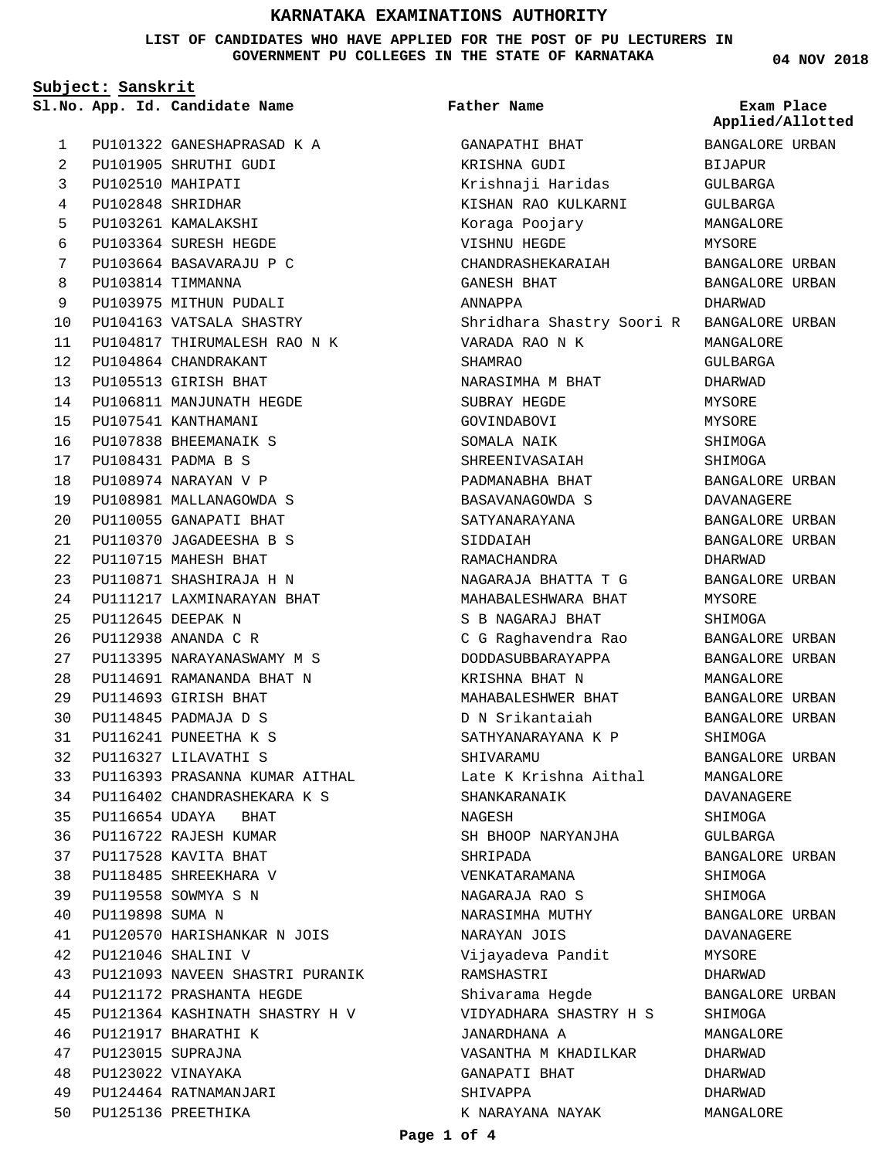**LIST OF CANDIDATES WHO HAVE APPLIED FOR THE POST OF PU LECTURERS IN GOVERNMENT PU COLLEGES IN THE STATE OF KARNATAKA**

**Father Name**

**Subject: Sanskrit**

PU101322 GANESHAPRASAD K A PU101905 SHRUTHI GUDI PU102510 MAHIPATI PU102848 SHRIDHAR PU103261 KAMALAKSHI PU103364 SURESH HEGDE PU103664 BASAVARAJU P C PU103814 TIMMANNA PU103975 MITHUN PUDALI PU104163 VATSALA SHASTRY PU104817 THIRUMALESH RAO N K PU104864 CHANDRAKANT PU105513 GIRISH BHAT PU106811 MANJUNATH HEGDE PU107541 KANTHAMANI PU107838 BHEEMANAIK S PU108431 PADMA B S PU108974 NARAYAN V P PU108981 MALLANAGOWDA S PU110055 GANAPATI BHAT PU110370 JAGADEESHA B S PU110715 MAHESH BHAT PU110871 SHASHIRAJA H N PU111217 LAXMINARAYAN BHAT PU112645 DEEPAK N PU112938 ANANDA C R PU113395 NARAYANASWAMY M S PU114691 RAMANANDA BHAT N PU114693 GIRISH BHAT PU114845 PADMAJA D S PU116241 PUNEETHA K S PU116327 LILAVATHI S PU116393 PRASANNA KUMAR AITHAL PU116402 CHANDRASHEKARA K S PU116654 UDAYA BHAT PU116722 RAJESH KUMAR PU117528 KAVITA BHAT PU118485 SHREEKHARA V PU119558 SOWMYA S N PU119898 SUMA N PU120570 HARISHANKAR N JOIS PU121046 SHALINI V PU121093 NAVEEN SHASTRI PURANIK PU121172 PRASHANTA HEGDE PU121364 KASHINATH SHASTRY H V PU121917 BHARATHI K PU123015 SUPRAJNA PU123022 VINAYAKA PU124464 RATNAMANJARI PU125136 PREETHIKA 50 **App. Id. Candidate Name Sl.No. Exam Place** 1  $\overline{2}$ 3 4 5 6 7 8 9  $1<sub>0</sub>$ 11  $12$ 13 14 15 16 17 18 19  $20$ 21 22 23 24  $25$ 26 27  $28$  $29$ 30 31 32 33 34 35 36 37 38 39 40 41  $42$ 43 44 45 46 47 48 49

GANAPATHI BHAT KRISHNA GUDI Krishnaji Haridas KISHAN RAO KULKARNI Koraga Poojary VISHNU HEGDE CHANDRASHEKARAIAH GANESH BHAT ANNAPPA Shridhara Shastry Soori R BANGALORE URBAN VARADA RAO N K SHAMRAO NARASIMHA M BHAT SUBRAY HEGDE GOVINDABOVI SOMALA NAIK SHREENIVASAIAH PADMANABHA BHAT BASAVANAGOWDA S SATYANARAYANA SIDDAIAH RAMACHANDRA NAGARAJA BHATTA T G MAHABALESHWARA BHAT S B NAGARAJ BHAT C G Raghavendra Rao DODDASUBBARAYAPPA KRISHNA BHAT N MAHABALESHWER BHAT D N Srikantaiah SATHYANARAYANA K P SHIVARAMU Late K Krishna Aithal SHANKARANAIK NAGESH SH BHOOP NARYANJHA SHRIPADA VENKATARAMANA NAGARAJA RAO S NARASIMHA MUTHY NARAYAN JOIS Vijayadeva Pandit RAMSHASTRI Shivarama Hegde VIDYADHARA SHASTRY H S JANARDHANA A VASANTHA M KHADILKAR GANAPATI BHAT

# BANGALORE URBAN BIJAPUR GULBARGA GULBARGA MANGALORE MYSORE BANGALORE URBAN BANGALORE URBAN DHARWAD MANGALORE GULBARGA DHARWAD MYSORE MYSORE SHIMOGA SHIMOGA BANGALORE URBAN DAVANAGERE BANGALORE URBAN BANGALORE URBAN DHARWAD BANGALORE URBAN MYSORE SHIMOGA BANGALORE URBAN BANGALORE URBAN MANGALORE BANGALORE URBAN BANGALORE URBAN SHIMOGA BANGALORE URBAN MANGALORE DAVANAGERE SHIMOGA GULBARGA BANGALORE URBAN SHIMOGA SHIMOGA BANGALORE URBAN DAVANAGERE MYSORE DHARWAD BANGALORE URBAN SHIMOGA MANGALORE DHARWAD DHARWAD DHARWAD **Applied/Allotted**

MANGALORE

SHIVAPPA

K NARAYANA NAYAK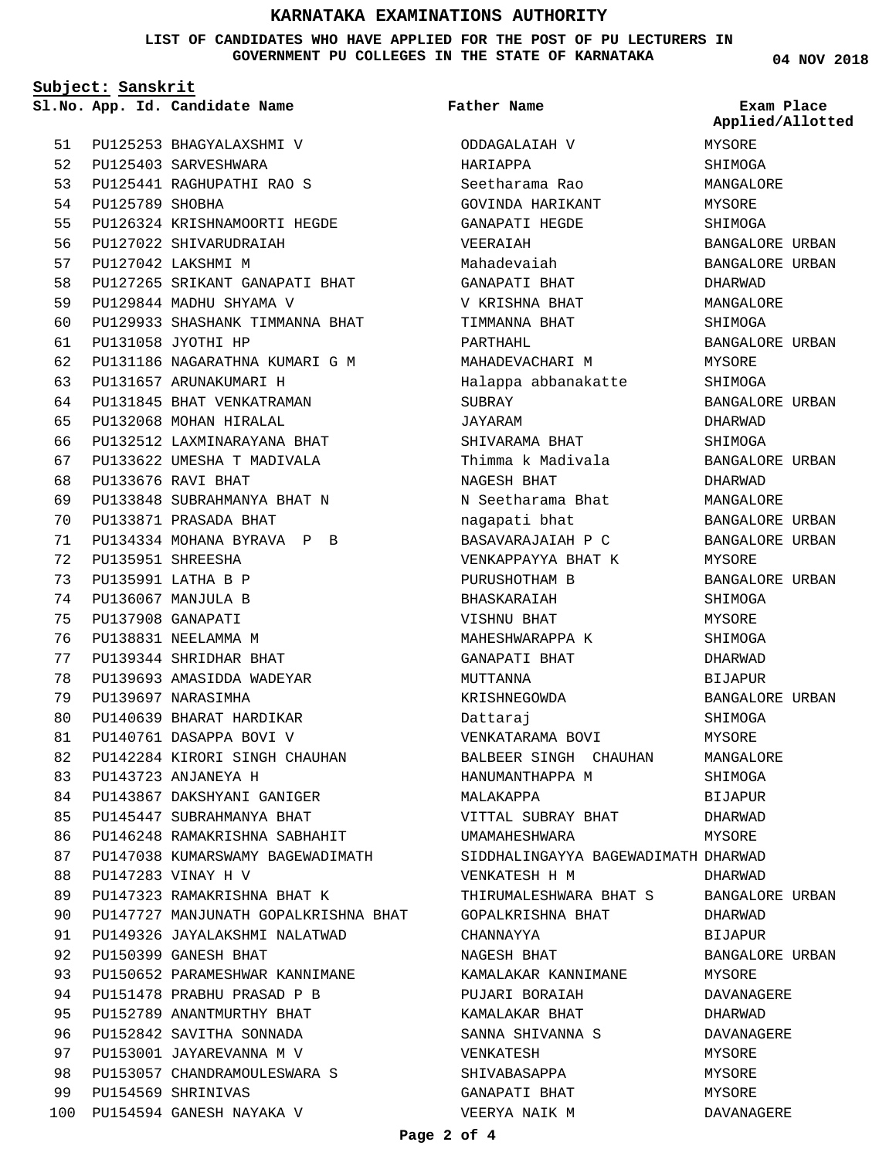**LIST OF CANDIDATES WHO HAVE APPLIED FOR THE POST OF PU LECTURERS IN GOVERNMENT PU COLLEGES IN THE STATE OF KARNATAKA**

**Subject: Sanskrit**

PU125253 BHAGYALAXSHMI V PU125403 SARVESHWARA PU125441 RAGHUPATHI RAO S PU125789 SHOBHA PU126324 KRISHNAMOORTI HEGDE PU127022 SHIVARUDRAIAH PU127042 LAKSHMI M PU127265 SRIKANT GANAPATI BHAT PU129844 MADHU SHYAMA V PU129933 SHASHANK TIMMANNA BHAT PU131058 JYOTHI HP PU131186 NAGARATHNA KUMARI G M PU131657 ARUNAKUMARI H PU131845 BHAT VENKATRAMAN PU132068 MOHAN HIRALAL PU132512 LAXMINARAYANA BHAT PU133622 UMESHA T MADIVALA PU133676 RAVI BHAT PU133848 SUBRAHMANYA BHAT N PU133871 PRASADA BHAT PU134334 MOHANA BYRAVA P B PU135951 SHREESHA PU135991 LATHA B P PU136067 MANJULA B PU137908 GANAPATI PU138831 NEELAMMA M PU139344 SHRIDHAR BHAT PU139693 AMASIDDA WADEYAR PU139697 NARASIMHA PU140639 BHARAT HARDIKAR PU140761 DASAPPA BOVI V PU142284 KIRORI SINGH CHAUHAN PU143723 ANJANEYA H PU143867 DAKSHYANI GANIGER PU145447 SUBRAHMANYA BHAT PU146248 RAMAKRISHNA SABHAHIT PU147038 KUMARSWAMY BAGEWADIMATH PU147283 VINAY H V PU147323 RAMAKRISHNA BHAT K PU147727 MANJUNATH GOPALKRISHNA BHAT PU149326 JAYALAKSHMI NALATWAD PU150399 GANESH BHAT PU150652 PARAMESHWAR KANNIMANE PU151478 PRABHU PRASAD P B PU152789 ANANTMURTHY BHAT PU152842 SAVITHA SONNADA PU153001 JAYAREVANNA M V PU153057 CHANDRAMOULESWARA S PU154569 SHRINIVAS PU154594 GANESH NAYAKA V 100 51 52 53 54 55 56 57 58 59  $60$ 61 62 63 64 65 66 67  $68$ 69  $70$ 71 72 73 74 75 76 77 78 79 80 81 82 83 84 85  $86$ 87 88 89 90 91  $Q<sub>2</sub>$ 93 94  $95$ 96 97 98 99

**App. Id. Candidate Name Sl.No. Exam Place** ODDAGALAIAH V HARIAPPA Seetharama Rao GOVINDA HARIKANT GANAPATI HEGDE VEERAIAH Mahadevaiah GANAPATI BHAT V KRISHNA BHAT TIMMANNA BHAT PARTHAHL MAHADEVACHARI M Halappa abbanakatte SUBRAY JAYARAM SHIVARAMA BHAT Thimma k Madivala NAGESH BHAT N Seetharama Bhat nagapati bhat BASAVARAJAIAH P C VENKAPPAYYA BHAT K PURUSHOTHAM B BHASKARAIAH VISHNU BHAT MAHESHWARAPPA K GANAPATI BHAT MUTTANNA KRISHNEGOWDA Dattaraj VENKATARAMA BOVI BALBEER SINGH CHAUHAN HANUMANTHAPPA M MALAKAPPA VITTAL SUBRAY BHAT UMAMAHESHWARA SIDDHALINGAYYA BAGEWADIMATH DHARWAD VENKATESH H M THIRUMALESHWARA BHAT S GOPALKRISHNA BHAT CHANNAYYA NAGESH BHAT KAMALAKAR KANNIMANE PUJARI BORAIAH KAMALAKAR BHAT SANNA SHIVANNA S VENKATESH SHIVABASAPPA GANAPATI BHAT VEERYA NAIK M **Father Name** MYSORE SHIMOGA MANGALORE MYSORE SHIMOGA BANGALORE URBAN BANGALORE URBAN DHARWAD MANGALORE SHIMOGA BANGALORE URBAN MYSORE SHIMOGA BANGALORE URBAN DHARWAD SHIMOGA BANGALORE URBAN DHARWAD MANGALORE BANGALORE URBAN BANGALORE URBAN MYSORE BANGALORE URBAN SHIMOGA MYSORE SHIMOGA DHARWAD BIJAPUR BANGALORE URBAN SHIMOGA MYSORE MANGALORE SHIMOGA BIJAPUR DHARWAD **MYSORE** DHARWAD BANGALORE URBAN DHARWAD BIJAPUR BANGALORE URBAN MYSORE DAVANAGERE DHARWAD DAVANAGERE MYSORE MYSORE MYSORE DAVANAGERE **Applied/Allotted**

**04 NOV 2018**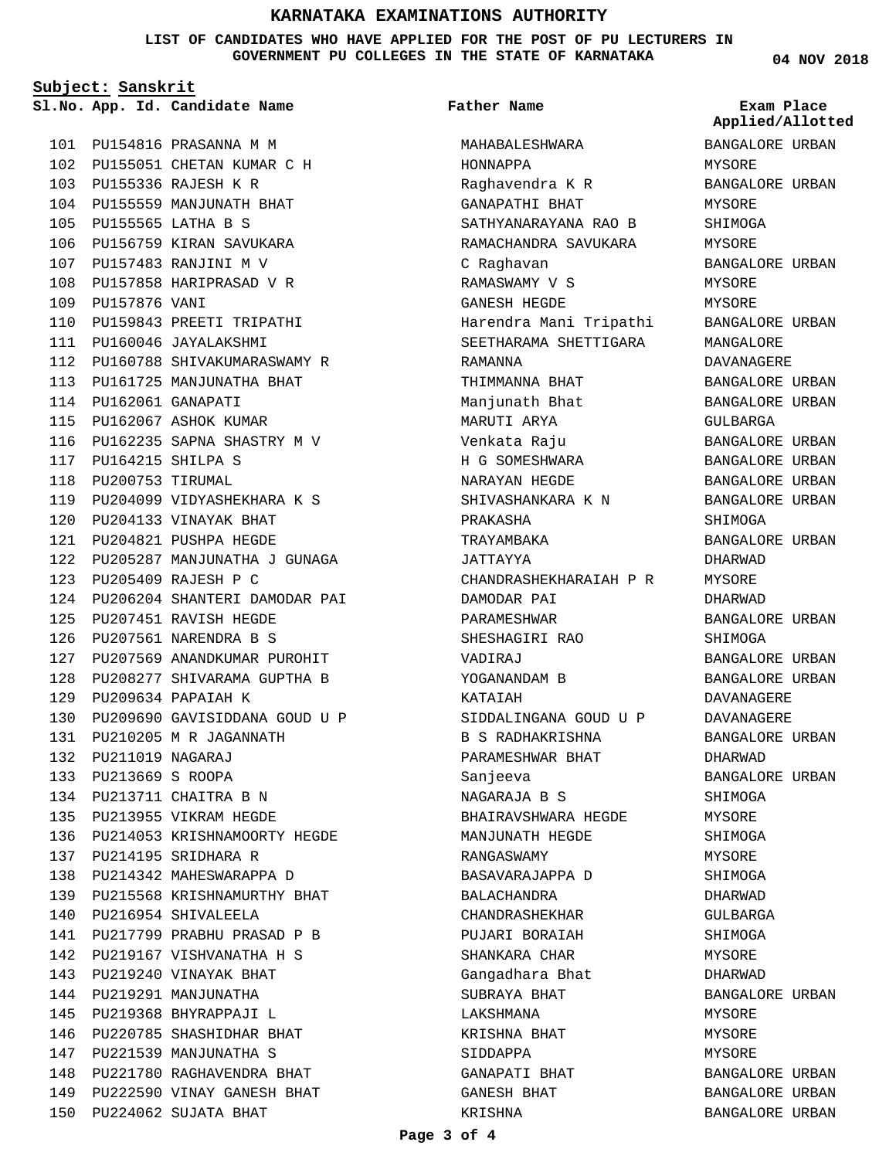**LIST OF CANDIDATES WHO HAVE APPLIED FOR THE POST OF PU LECTURERS IN GOVERNMENT PU COLLEGES IN THE STATE OF KARNATAKA**

**Subject: Sanskrit**

**App. Id. Candidate Name Sl.No. Exam Place**

PU154816 PRASANNA M M 101 102 PU155051 CHETAN KUMAR C H PU155336 RAJESH K R 103 104 PU155559 MANJUNATH BHAT PU155565 LATHA B S 105 106 PU156759 KIRAN SAVUKARA PU157483 RANJINI M V 107 108 PU157858 HARIPRASAD V R 109 PU157876 VANI 110 PU159843 PREETI TRIPATHI PU160046 JAYALAKSHMI 111 PU160788 SHIVAKUMARASWAMY R 112 PU161725 MANJUNATHA BHAT 113 PU162061 GANAPATI 114 PU162067 ASHOK KUMAR 115 116 PU162235 SAPNA SHASTRY M V PU164215 SHILPA S 117 118 PU200753 TIRUMAL PU204099 VIDYASHEKHARA K S 119 PU204133 VINAYAK BHAT 120 121 PU204821 PUSHPA HEGDE PU205287 MANJUNATHA J GUNAGA 122 PU205409 RAJESH P C 123 PU206204 SHANTERI DAMODAR PAI 124 PU207451 RAVISH HEGDE 125 PU207561 NARENDRA B S 126 PU207569 ANANDKUMAR PUROHIT 127 PU208277 SHIVARAMA GUPTHA B 128 PU209634 PAPAIAH K 129 130 PU209690 GAVISIDDANA GOUD U P PU210205 M R JAGANNATH 131 PU211019 NAGARAJ 132 PU213669 S ROOPA 133 PU213711 CHAITRA B N 134 135 PU213955 VIKRAM HEGDE PU214053 KRISHNAMOORTY HEGDE 136 PU214195 SRIDHARA R 137 138 PU214342 MAHESWARAPPA D PU215568 KRISHNAMURTHY BHAT 139 140 PU216954 SHIVALEELA 141 PU217799 PRABHU PRASAD P B 142 PU219167 VISHVANATHA H S PU219240 VINAYAK BHAT 143 144 PU219291 MANJUNATHA 145 PU219368 BHYRAPPAJI L 146 PU220785 SHASHIDHAR BHAT 147 PU221539 MANJUNATHA S PU221780 RAGHAVENDRA BHAT 148 PU222590 VINAY GANESH BHAT 149 PU224062 SUJATA BHAT 150

## **Father Name**

MAHABALESHWARA HONNAPPA Raghavendra K R GANAPATHI BHAT SATHYANARAYANA RAO B RAMACHANDRA SAVUKARA C Raghavan RAMASWAMY V S GANESH HEGDE Harendra Mani Tripathi SEETHARAMA SHETTIGARA RAMANNA THIMMANNA BHAT Manjunath Bhat MARUTI ARYA Venkata Raju H G SOMESHWARA NARAYAN HEGDE SHIVASHANKARA K N PRAKASHA TRAYAMBAKA JATTAYYA CHANDRASHEKHARAIAH P R DAMODAR PAI PARAMESHWAR SHESHAGIRI RAO VADIRAJ YOGANANDAM B KATAIAH SIDDALINGANA GOUD U P B S RADHAKRISHNA PARAMESHWAR BHAT Sanjeeva NAGARAJA B S BHAIRAVSHWARA HEGDE MANJUNATH HEGDE RANGASWAMY BASAVARAJAPPA D BALACHANDRA CHANDRASHEKHAR PUJARI BORAIAH SHANKARA CHAR Gangadhara Bhat SUBRAYA BHAT LAKSHMANA KRISHNA BHAT SIDDAPPA GANAPATI BHAT GANESH BHAT KRISHNA

**04 NOV 2018**

BANGALORE URBAN MYSORE BANGALORE URBAN MYSORE SHIMOGA MYSORE BANGALORE URBAN MYSORE MYSORE BANGALORE URBAN MANGALORE DAVANAGERE BANGALORE URBAN BANGALORE URBAN GULBARGA BANGALORE URBAN BANGALORE URBAN BANGALORE URBAN BANGALORE URBAN SHIMOGA BANGALORE URBAN DHARWAD MYSORE DHARWAD BANGALORE URBAN SHIMOGA BANGALORE URBAN BANGALORE URBAN DAVANAGERE DAVANAGERE BANGALORE URBAN DHARWAD BANGALORE URBAN SHIMOGA MYSORE **SHIMOGA** MYSORE SHIMOGA DHARWAD GULBARGA SHIMOGA MYSORE DHARWAD BANGALORE URBAN MYSORE MYSORE MYSORE BANGALORE URBAN BANGALORE URBAN BANGALORE URBAN **Applied/Allotted**